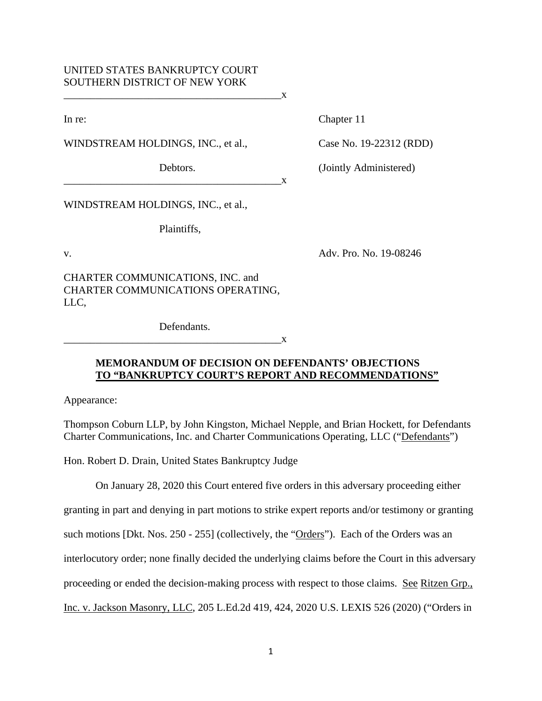## UNITED STATES BANKRUPTCY COURT SOUTHERN DISTRICT OF NEW YORK

WINDSTREAM HOLDINGS, INC., et al., Case No. 19-22312 (RDD)

 $\mathbf{X}$ 

In re: Chapter 11

Debtors. (Jointly Administered)

WINDSTREAM HOLDINGS, INC., et al.,

Plaintiffs,

v. Adv. Pro. No. 19-08246

CHARTER COMMUNICATIONS, INC. and CHARTER COMMUNICATIONS OPERATING, LLC,

Defendants.

 $X$ 

 $\mathbf{X}$ 

## **MEMORANDUM OF DECISION ON DEFENDANTS' OBJECTIONS TO "BANKRUPTCY COURT'S REPORT AND RECOMMENDATIONS"**

Appearance:

Thompson Coburn LLP, by John Kingston, Michael Nepple, and Brian Hockett, for Defendants Charter Communications, Inc. and Charter Communications Operating, LLC ("Defendants")

Hon. Robert D. Drain, United States Bankruptcy Judge

On January 28, 2020 this Court entered five orders in this adversary proceeding either

granting in part and denying in part motions to strike expert reports and/or testimony or granting

such motions [Dkt. Nos. 250 - 255] (collectively, the "Orders"). Each of the Orders was an

interlocutory order; none finally decided the underlying claims before the Court in this adversary

proceeding or ended the decision-making process with respect to those claims. See Ritzen Grp.,

Inc. v. Jackson Masonry, LLC, 205 L.Ed.2d 419, 424, 2020 U.S. LEXIS 526 (2020) ("Orders in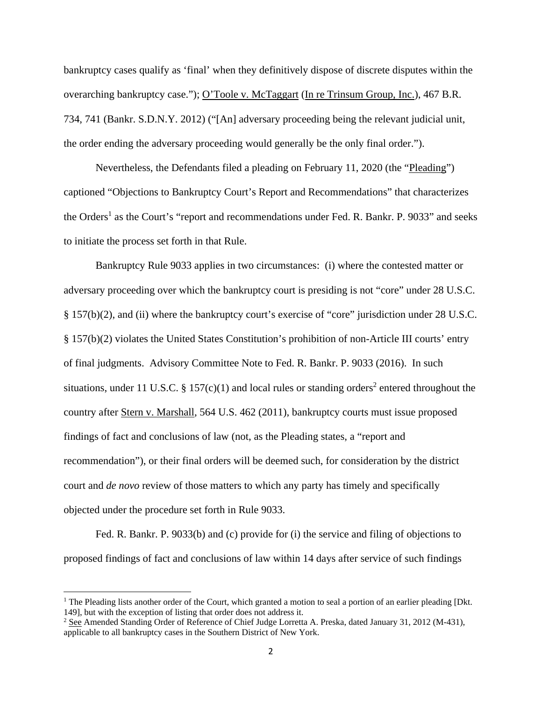bankruptcy cases qualify as 'final' when they definitively dispose of discrete disputes within the overarching bankruptcy case."); O'Toole v. McTaggart (In re Trinsum Group, Inc.), 467 B.R. 734, 741 (Bankr. S.D.N.Y. 2012) ("[An] adversary proceeding being the relevant judicial unit, the order ending the adversary proceeding would generally be the only final order.").

 Nevertheless, the Defendants filed a pleading on February 11, 2020 (the "Pleading") captioned "Objections to Bankruptcy Court's Report and Recommendations" that characterizes the Orders<sup>1</sup> as the Court's "report and recommendations under Fed. R. Bankr. P. 9033" and seeks to initiate the process set forth in that Rule.

Bankruptcy Rule 9033 applies in two circumstances: (i) where the contested matter or adversary proceeding over which the bankruptcy court is presiding is not "core" under 28 U.S.C. § 157(b)(2), and (ii) where the bankruptcy court's exercise of "core" jurisdiction under 28 U.S.C. § 157(b)(2) violates the United States Constitution's prohibition of non-Article III courts' entry of final judgments. Advisory Committee Note to Fed. R. Bankr. P. 9033 (2016). In such situations, under 11 U.S.C. § 157 $(c)(1)$  and local rules or standing orders<sup>2</sup> entered throughout the country after Stern v. Marshall, 564 U.S. 462 (2011), bankruptcy courts must issue proposed findings of fact and conclusions of law (not, as the Pleading states, a "report and recommendation"), or their final orders will be deemed such, for consideration by the district court and *de novo* review of those matters to which any party has timely and specifically objected under the procedure set forth in Rule 9033.

Fed. R. Bankr. P. 9033(b) and (c) provide for (i) the service and filing of objections to proposed findings of fact and conclusions of law within 14 days after service of such findings

<sup>&</sup>lt;sup>1</sup> The Pleading lists another order of the Court, which granted a motion to seal a portion of an earlier pleading [Dkt. 149], but with the exception of listing that order does not address it.

<sup>&</sup>lt;sup>2</sup> See Amended Standing Order of Reference of Chief Judge Lorretta A. Preska, dated January 31, 2012 (M-431), applicable to all bankruptcy cases in the Southern District of New York.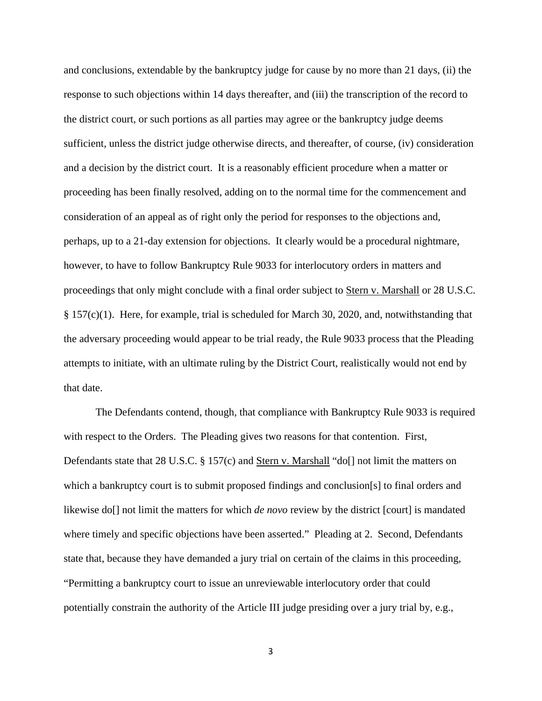and conclusions, extendable by the bankruptcy judge for cause by no more than 21 days, (ii) the response to such objections within 14 days thereafter, and (iii) the transcription of the record to the district court, or such portions as all parties may agree or the bankruptcy judge deems sufficient, unless the district judge otherwise directs, and thereafter, of course, (iv) consideration and a decision by the district court. It is a reasonably efficient procedure when a matter or proceeding has been finally resolved, adding on to the normal time for the commencement and consideration of an appeal as of right only the period for responses to the objections and, perhaps, up to a 21-day extension for objections. It clearly would be a procedural nightmare, however, to have to follow Bankruptcy Rule 9033 for interlocutory orders in matters and proceedings that only might conclude with a final order subject to Stern v. Marshall or 28 U.S.C. § 157(c)(1). Here, for example, trial is scheduled for March 30, 2020, and, notwithstanding that the adversary proceeding would appear to be trial ready, the Rule 9033 process that the Pleading attempts to initiate, with an ultimate ruling by the District Court, realistically would not end by that date.

The Defendants contend, though, that compliance with Bankruptcy Rule 9033 is required with respect to the Orders. The Pleading gives two reasons for that contention. First, Defendants state that 28 U.S.C. § 157(c) and Stern v. Marshall "do[] not limit the matters on which a bankruptcy court is to submit proposed findings and conclusion[s] to final orders and likewise do[] not limit the matters for which *de novo* review by the district [court] is mandated where timely and specific objections have been asserted." Pleading at 2. Second, Defendants state that, because they have demanded a jury trial on certain of the claims in this proceeding, "Permitting a bankruptcy court to issue an unreviewable interlocutory order that could potentially constrain the authority of the Article III judge presiding over a jury trial by, e.g.,

3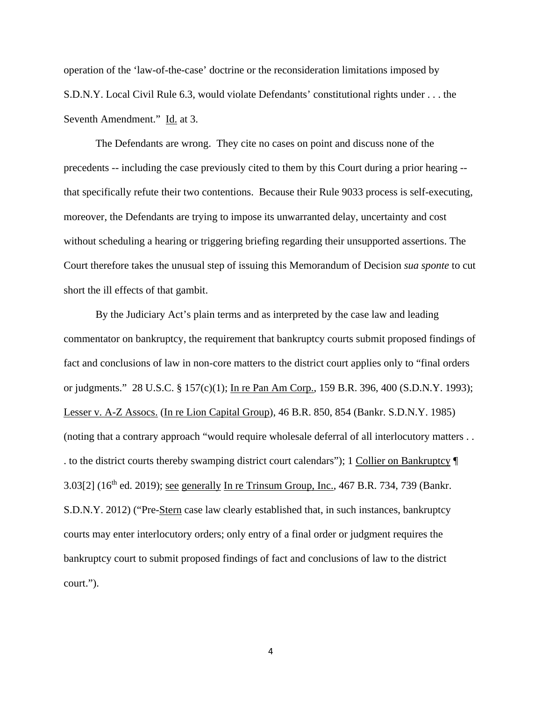operation of the 'law-of-the-case' doctrine or the reconsideration limitations imposed by S.D.N.Y. Local Civil Rule 6.3, would violate Defendants' constitutional rights under . . . the Seventh Amendment." Id. at 3.

The Defendants are wrong. They cite no cases on point and discuss none of the precedents -- including the case previously cited to them by this Court during a prior hearing - that specifically refute their two contentions. Because their Rule 9033 process is self-executing, moreover, the Defendants are trying to impose its unwarranted delay, uncertainty and cost without scheduling a hearing or triggering briefing regarding their unsupported assertions. The Court therefore takes the unusual step of issuing this Memorandum of Decision *sua sponte* to cut short the ill effects of that gambit.

By the Judiciary Act's plain terms and as interpreted by the case law and leading commentator on bankruptcy, the requirement that bankruptcy courts submit proposed findings of fact and conclusions of law in non-core matters to the district court applies only to "final orders or judgments." 28 U.S.C. § 157(c)(1); In re Pan Am Corp., 159 B.R. 396, 400 (S.D.N.Y. 1993); Lesser v. A-Z Assocs. (In re Lion Capital Group), 46 B.R. 850, 854 (Bankr. S.D.N.Y. 1985) (noting that a contrary approach "would require wholesale deferral of all interlocutory matters . . . to the district courts thereby swamping district court calendars"); 1 Collier on Bankruptcy ¶  $3.03[2]$  (16<sup>th</sup> ed. 2019); see generally In re Trinsum Group, Inc., 467 B.R. 734, 739 (Bankr. S.D.N.Y. 2012) ("Pre-Stern case law clearly established that, in such instances, bankruptcy courts may enter interlocutory orders; only entry of a final order or judgment requires the bankruptcy court to submit proposed findings of fact and conclusions of law to the district court.").

4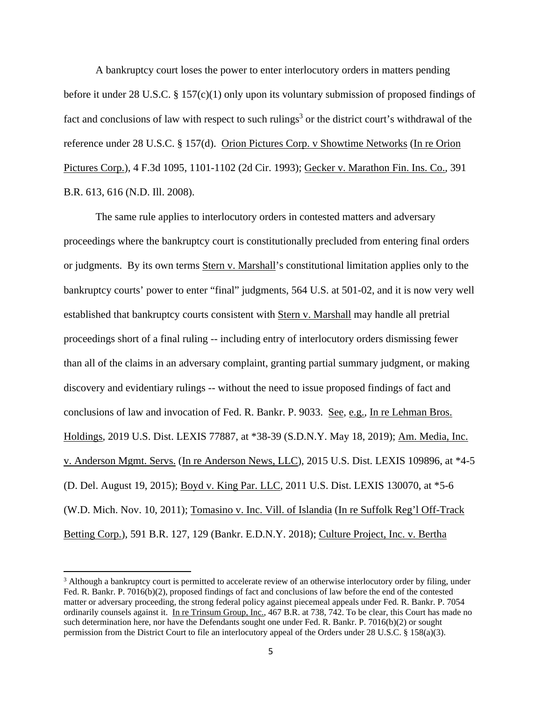A bankruptcy court loses the power to enter interlocutory orders in matters pending before it under 28 U.S.C. § 157(c)(1) only upon its voluntary submission of proposed findings of fact and conclusions of law with respect to such rulings<sup>3</sup> or the district court's withdrawal of the reference under 28 U.S.C. § 157(d). Orion Pictures Corp. v Showtime Networks (In re Orion Pictures Corp.), 4 F.3d 1095, 1101-1102 (2d Cir. 1993); Gecker v. Marathon Fin. Ins. Co., 391 B.R. 613, 616 (N.D. Ill. 2008).

The same rule applies to interlocutory orders in contested matters and adversary proceedings where the bankruptcy court is constitutionally precluded from entering final orders or judgments. By its own terms Stern v. Marshall's constitutional limitation applies only to the bankruptcy courts' power to enter "final" judgments, 564 U.S. at 501-02, and it is now very well established that bankruptcy courts consistent with Stern v. Marshall may handle all pretrial proceedings short of a final ruling -- including entry of interlocutory orders dismissing fewer than all of the claims in an adversary complaint, granting partial summary judgment, or making discovery and evidentiary rulings -- without the need to issue proposed findings of fact and conclusions of law and invocation of Fed. R. Bankr. P. 9033. See, e.g., In re Lehman Bros. Holdings, 2019 U.S. Dist. LEXIS 77887, at \*38-39 (S.D.N.Y. May 18, 2019); Am. Media, Inc. v. Anderson Mgmt. Servs. (In re Anderson News, LLC), 2015 U.S. Dist. LEXIS 109896, at \*4-5 (D. Del. August 19, 2015); Boyd v. King Par. LLC, 2011 U.S. Dist. LEXIS 130070, at \*5-6 (W.D. Mich. Nov. 10, 2011); Tomasino v. Inc. Vill. of Islandia (In re Suffolk Reg'l Off-Track Betting Corp.), 591 B.R. 127, 129 (Bankr. E.D.N.Y. 2018); Culture Project, Inc. v. Bertha

<sup>&</sup>lt;sup>3</sup> Although a bankruptcy court is permitted to accelerate review of an otherwise interlocutory order by filing, under Fed. R. Bankr. P. 7016(b)(2), proposed findings of fact and conclusions of law before the end of the contested matter or adversary proceeding, the strong federal policy against piecemeal appeals under Fed. R. Bankr. P. 7054 ordinarily counsels against it. In re Trinsum Group, Inc., 467 B.R. at 738, 742. To be clear, this Court has made no such determination here, nor have the Defendants sought one under Fed. R. Bankr. P. 7016(b)(2) or sought permission from the District Court to file an interlocutory appeal of the Orders under 28 U.S.C. § 158(a)(3).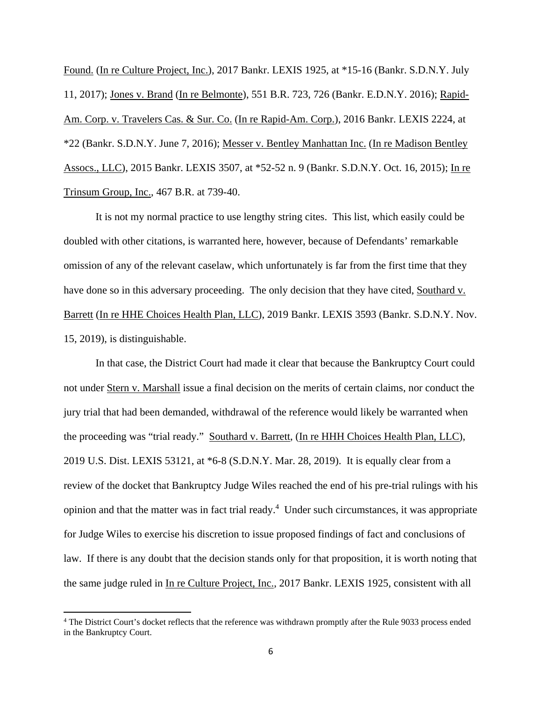Found. (In re Culture Project, Inc.), 2017 Bankr. LEXIS 1925, at \*15-16 (Bankr. S.D.N.Y. July 11, 2017); Jones v. Brand (In re Belmonte), 551 B.R. 723, 726 (Bankr. E.D.N.Y. 2016); Rapid-Am. Corp. v. Travelers Cas. & Sur. Co. (In re Rapid-Am. Corp.), 2016 Bankr. LEXIS 2224, at \*22 (Bankr. S.D.N.Y. June 7, 2016); Messer v. Bentley Manhattan Inc. (In re Madison Bentley Assocs., LLC), 2015 Bankr. LEXIS 3507, at \*52-52 n. 9 (Bankr. S.D.N.Y. Oct. 16, 2015); In re Trinsum Group, Inc., 467 B.R. at 739-40.

It is not my normal practice to use lengthy string cites. This list, which easily could be doubled with other citations, is warranted here, however, because of Defendants' remarkable omission of any of the relevant caselaw, which unfortunately is far from the first time that they have done so in this adversary proceeding. The only decision that they have cited, Southard v. Barrett (In re HHE Choices Health Plan, LLC), 2019 Bankr. LEXIS 3593 (Bankr. S.D.N.Y. Nov. 15, 2019), is distinguishable.

In that case, the District Court had made it clear that because the Bankruptcy Court could not under Stern v. Marshall issue a final decision on the merits of certain claims, nor conduct the jury trial that had been demanded, withdrawal of the reference would likely be warranted when the proceeding was "trial ready." Southard v. Barrett, (In re HHH Choices Health Plan, LLC), 2019 U.S. Dist. LEXIS 53121, at \*6-8 (S.D.N.Y. Mar. 28, 2019). It is equally clear from a review of the docket that Bankruptcy Judge Wiles reached the end of his pre-trial rulings with his opinion and that the matter was in fact trial ready.<sup>4</sup> Under such circumstances, it was appropriate for Judge Wiles to exercise his discretion to issue proposed findings of fact and conclusions of law. If there is any doubt that the decision stands only for that proposition, it is worth noting that the same judge ruled in In re Culture Project, Inc., 2017 Bankr. LEXIS 1925, consistent with all

<sup>&</sup>lt;sup>4</sup> The District Court's docket reflects that the reference was withdrawn promptly after the Rule 9033 process ended in the Bankruptcy Court.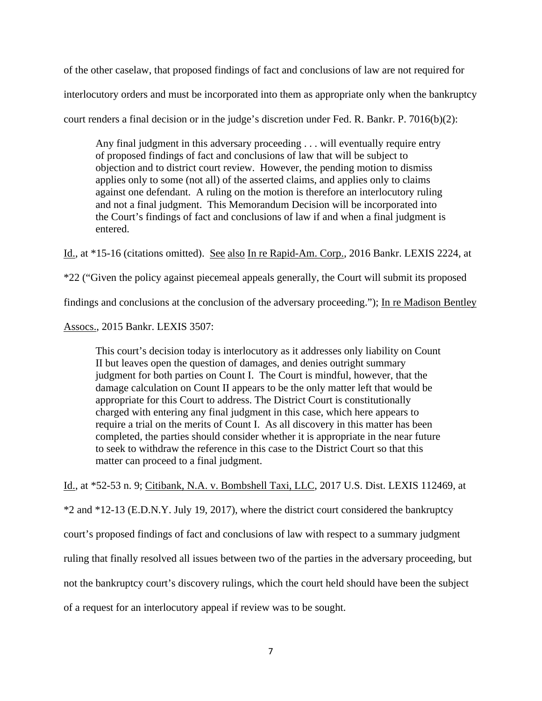of the other caselaw, that proposed findings of fact and conclusions of law are not required for interlocutory orders and must be incorporated into them as appropriate only when the bankruptcy court renders a final decision or in the judge's discretion under Fed. R. Bankr. P. 7016(b)(2):

Any final judgment in this adversary proceeding . . . will eventually require entry of proposed findings of fact and conclusions of law that will be subject to objection and to district court review. However, the pending motion to dismiss applies only to some (not all) of the asserted claims, and applies only to claims against one defendant. A ruling on the motion is therefore an interlocutory ruling and not a final judgment. This Memorandum Decision will be incorporated into the Court's findings of fact and conclusions of law if and when a final judgment is entered.

Id., at \*15-16 (citations omitted). See also In re Rapid-Am. Corp., 2016 Bankr. LEXIS 2224, at

\*22 ("Given the policy against piecemeal appeals generally, the Court will submit its proposed

findings and conclusions at the conclusion of the adversary proceeding."); In re Madison Bentley

Assocs., 2015 Bankr. LEXIS 3507:

This court's decision today is interlocutory as it addresses only liability on Count II but leaves open the question of damages, and denies outright summary judgment for both parties on Count I. The Court is mindful, however, that the damage calculation on Count II appears to be the only matter left that would be appropriate for this Court to address. The District Court is constitutionally charged with entering any final judgment in this case, which here appears to require a trial on the merits of Count I. As all discovery in this matter has been completed, the parties should consider whether it is appropriate in the near future to seek to withdraw the reference in this case to the District Court so that this matter can proceed to a final judgment.

Id., at \*52-53 n. 9; Citibank, N.A. v. Bombshell Taxi, LLC, 2017 U.S. Dist. LEXIS 112469, at

\*2 and \*12-13 (E.D.N.Y. July 19, 2017), where the district court considered the bankruptcy court's proposed findings of fact and conclusions of law with respect to a summary judgment ruling that finally resolved all issues between two of the parties in the adversary proceeding, but not the bankruptcy court's discovery rulings, which the court held should have been the subject of a request for an interlocutory appeal if review was to be sought.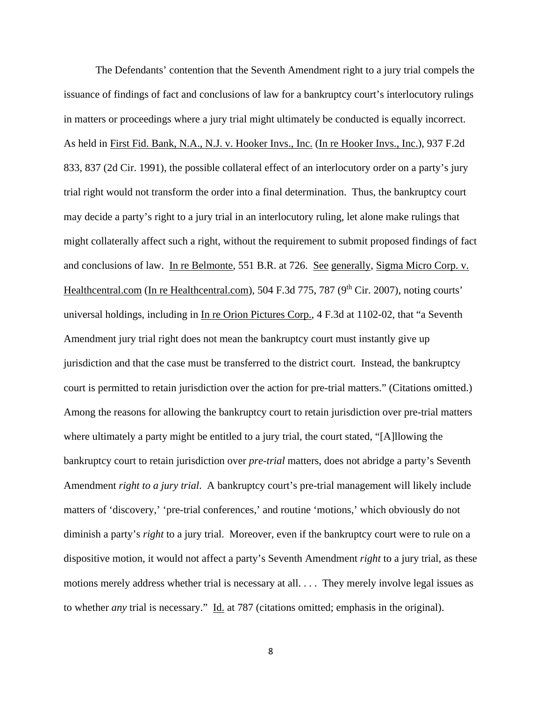The Defendants' contention that the Seventh Amendment right to a jury trial compels the issuance of findings of fact and conclusions of law for a bankruptcy court's interlocutory rulings in matters or proceedings where a jury trial might ultimately be conducted is equally incorrect. As held in First Fid. Bank, N.A., N.J. v. Hooker Invs., Inc. (In re Hooker Invs., Inc.), 937 F.2d 833, 837 (2d Cir. 1991), the possible collateral effect of an interlocutory order on a party's jury trial right would not transform the order into a final determination. Thus, the bankruptcy court may decide a party's right to a jury trial in an interlocutory ruling, let alone make rulings that might collaterally affect such a right, without the requirement to submit proposed findings of fact and conclusions of law. In re Belmonte, 551 B.R. at 726. See generally, Sigma Micro Corp. v. Healthcentral.com (In re Healthcentral.com), 504 F.3d 775, 787 (9<sup>th</sup> Cir. 2007), noting courts' universal holdings, including in In re Orion Pictures Corp., 4 F.3d at 1102-02, that "a Seventh Amendment jury trial right does not mean the bankruptcy court must instantly give up jurisdiction and that the case must be transferred to the district court. Instead, the bankruptcy court is permitted to retain jurisdiction over the action for pre-trial matters." (Citations omitted.) Among the reasons for allowing the bankruptcy court to retain jurisdiction over pre-trial matters where ultimately a party might be entitled to a jury trial, the court stated, "[A]llowing the bankruptcy court to retain jurisdiction over *pre-trial* matters, does not abridge a party's Seventh Amendment *right to a jury trial*. A bankruptcy court's pre-trial management will likely include matters of 'discovery,' 'pre-trial conferences,' and routine 'motions,' which obviously do not diminish a party's *right* to a jury trial. Moreover, even if the bankruptcy court were to rule on a dispositive motion, it would not affect a party's Seventh Amendment *right* to a jury trial, as these motions merely address whether trial is necessary at all. . . . They merely involve legal issues as to whether *any* trial is necessary." Id. at 787 (citations omitted; emphasis in the original).